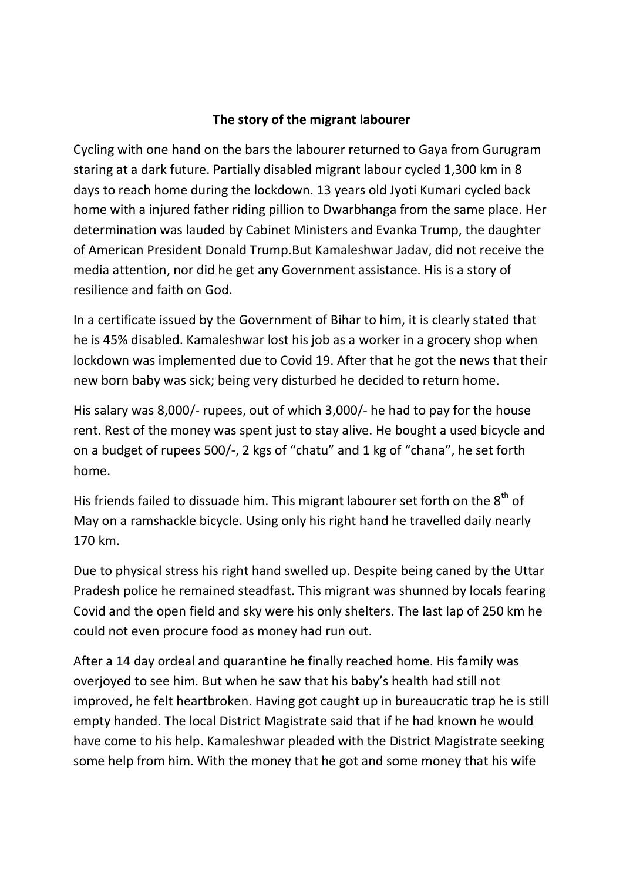## The story of the migrant labourer

Cycling with one hand on the bars the labourer returned to Gaya from Gurugram staring at a dark future. Partially disabled migrant labour cycled 1,300 km in 8 days to reach home during the lockdown. 13 years old Jyoti Kumari cycled back home with a injured father riding pillion to Dwarbhanga from the same place. Her determination was lauded by Cabinet Ministers and Evanka Trump, the daughter of American President Donald Trump.But Kamaleshwar Jadav, did not receive the media attention, nor did he get any Government assistance. His is a story of resilience and faith on God.

In a certificate issued by the Government of Bihar to him, it is clearly stated that he is 45% disabled. Kamaleshwar lost his job as a worker in a grocery shop when lockdown was implemented due to Covid 19. After that he got the news that their new born baby was sick; being very disturbed he decided to return home.

His salary was 8,000/- rupees, out of which 3,000/- he had to pay for the house rent. Rest of the money was spent just to stay alive. He bought a used bicycle and on a budget of rupees 500/-, 2 kgs of "chatu" and 1 kg of "chana", he set forth home.

His friends failed to dissuade him. This migrant labourer set forth on the  $8<sup>th</sup>$  of May on a ramshackle bicycle. Using only his right hand he travelled daily nearly 170 km.

Due to physical stress his right hand swelled up. Despite being caned by the Uttar Pradesh police he remained steadfast. This migrant was shunned by locals fearing Covid and the open field and sky were his only shelters. The last lap of 250 km he could not even procure food as money had run out.

After a 14 day ordeal and quarantine he finally reached home. His family was overjoyed to see him. But when he saw that his baby's health had still not improved, he felt heartbroken. Having got caught up in bureaucratic trap he is still empty handed. The local District Magistrate said that if he had known he would have come to his help. Kamaleshwar pleaded with the District Magistrate seeking some help from him. With the money that he got and some money that his wife